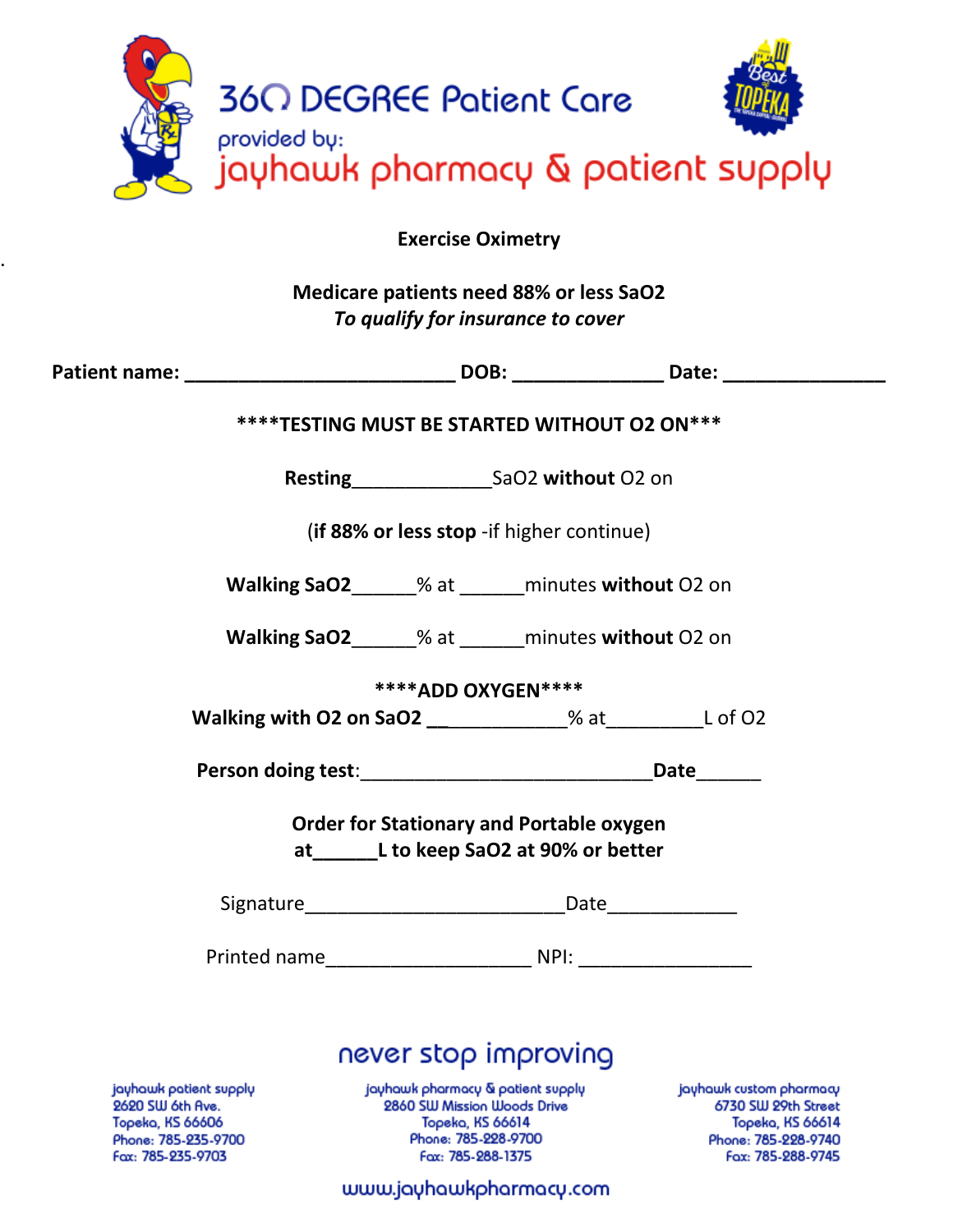|  | <b>360 DEGREE Patient Care</b><br>provided by: |  |
|--|------------------------------------------------|--|
|  | jayhawk pharmacy & patient supply              |  |

. **Exercise Oximetry**

**Medicare patients need 88% or less SaO2** *To qualify for insurance to cover*

| ****TESTING MUST BE STARTED WITHOUT O2 ON***    |                                                              |                                                                                                                        |                         |  |  |
|-------------------------------------------------|--------------------------------------------------------------|------------------------------------------------------------------------------------------------------------------------|-------------------------|--|--|
|                                                 |                                                              |                                                                                                                        |                         |  |  |
| (if 88% or less stop - if higher continue)      |                                                              |                                                                                                                        |                         |  |  |
|                                                 | Walking SaO2______% at ______ minutes without O2 on          |                                                                                                                        |                         |  |  |
|                                                 | Walking SaO2______% at ______ minutes without O2 on          |                                                                                                                        |                         |  |  |
| **** ADD OXYGEN****                             |                                                              |                                                                                                                        |                         |  |  |
|                                                 | Walking with O2 on SaO2 ____________% at ____________L of O2 |                                                                                                                        |                         |  |  |
|                                                 |                                                              |                                                                                                                        |                         |  |  |
| <b>Order for Stationary and Portable oxygen</b> |                                                              |                                                                                                                        |                         |  |  |
| at L to keep SaO2 at 90% or better              |                                                              |                                                                                                                        |                         |  |  |
|                                                 |                                                              |                                                                                                                        |                         |  |  |
|                                                 |                                                              |                                                                                                                        |                         |  |  |
|                                                 |                                                              |                                                                                                                        |                         |  |  |
| never stop improving                            |                                                              |                                                                                                                        |                         |  |  |
| jayhawk patient supply<br>9690 SIII 6th Ave     | jayhawk pharmacy & patient supply                            | <b>9860 SIII Mission Illoods Drive Community Community Community Community Community Community Community Community</b> | jayhawk custom pharmacy |  |  |

J SW Oth Hve. **Topeka, KS 66606** Phone: 785-235-9700 Fax: 785-235-9703

pods Drive Mission Topeka, KS 66614 Phone: 785-228-9700 Fax: 785-288-1375

) SW 29t Topeka, KS 66614 Phone: 785-228-9740 Fax: 785-288-9745

www.jayhawkpharmacy.com